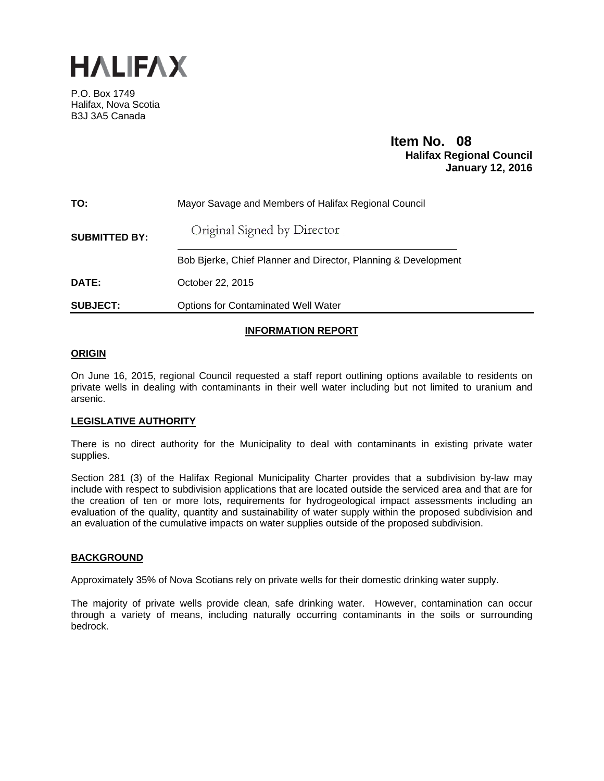

P.O. Box 1749 Halifax, Nova Scotia B3J 3A5 Canada

# **Item No. 08**<br>**Halifax Regional Council January 12, 2016**

| TO:                  | Mayor Savage and Members of Halifax Regional Council           |
|----------------------|----------------------------------------------------------------|
| <b>SUBMITTED BY:</b> | Original Signed by Director                                    |
|                      | Bob Bjerke, Chief Planner and Director, Planning & Development |
| DATE:                | October 22, 2015                                               |
| <b>SUBJECT:</b>      | <b>Options for Contaminated Well Water</b>                     |

# **INFORMATION REPORT**

## **ORIGIN**

On June 16, 2015, regional Council requested a staff report outlining options available to residents on private wells in dealing with contaminants in their well water including but not limited to uranium and arsenic.

## **LEGISLATIVE AUTHORITY**

There is no direct authority for the Municipality to deal with contaminants in existing private water supplies.

Section 281 (3) of the Halifax Regional Municipality Charter provides that a subdivision by-law may include with respect to subdivision applications that are located outside the serviced area and that are for the creation of ten or more lots, requirements for hydrogeological impact assessments including an evaluation of the quality, quantity and sustainability of water supply within the proposed subdivision and an evaluation of the cumulative impacts on water supplies outside of the proposed subdivision.

## **BACKGROUND**

Approximately 35% of Nova Scotians rely on private wells for their domestic drinking water supply.

The majority of private wells provide clean, safe drinking water. However, contamination can occur through a variety of means, including naturally occurring contaminants in the soils or surrounding bedrock.